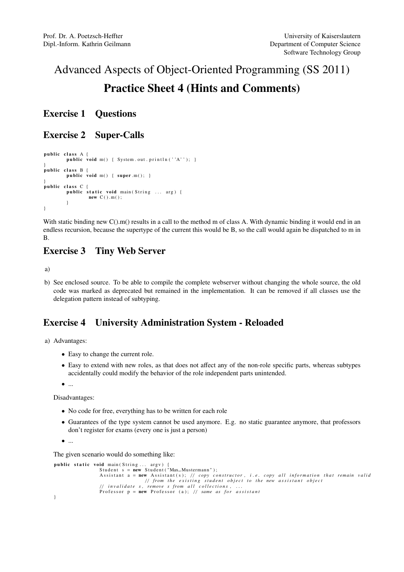# Advanced Aspects of Object-Oriented Programming (SS 2011) Practice Sheet 4 (Hints and Comments)

### Exercise 1 Questions

### Exercise 2 Super-Calls

```
public class A {
         public void m() \{ System.out.println(''A'); \}}<br>public class B {
        public void m() \{ super.m(); \}}<br>public class C {
        public static void main (String ... arg) {
                 new C(.) . m();
        }
}
```
With static binding new  $C($ ).m() results in a call to the method m of class A. With dynamic binding it would end in an endless recursion, because the supertype of the current this would be B, so the call would again be dispatched to m in B.

### Exercise 3 Tiny Web Server

a)

b) See enclosed source. To be able to compile the complete webserver without changing the whole source, the old code was marked as deprecated but remained in the implementation. It can be removed if all classes use the delegation pattern instead of subtyping.

## Exercise 4 University Administration System - Reloaded

a) Advantages:

- Easy to change the current role.
- Easy to extend with new roles, as that does not affect any of the non-role specific parts, whereas subtypes accidentally could modify the behavior of the role independent parts unintended.

• ...

Disadvantages:

- No code for free, everything has to be written for each role
- Guarantees of the type system cannot be used anymore. E.g. no static guarantee anymore, that professors don't register for exams (every one is just a person)

 $\bullet$  ...

The given scenario would do something like:

```
public static void main (String ... argv) {
                Student s = new Student("Max_Musterman");Assistant a = new Assistant(s); // copy constructor, i.e. copy all information that remain valid
                               // from the existing student object to the new assistant object
                // invalidate s, remove s from all collections,
                Professor p = new Professor (a); // same as for assistant
}
```